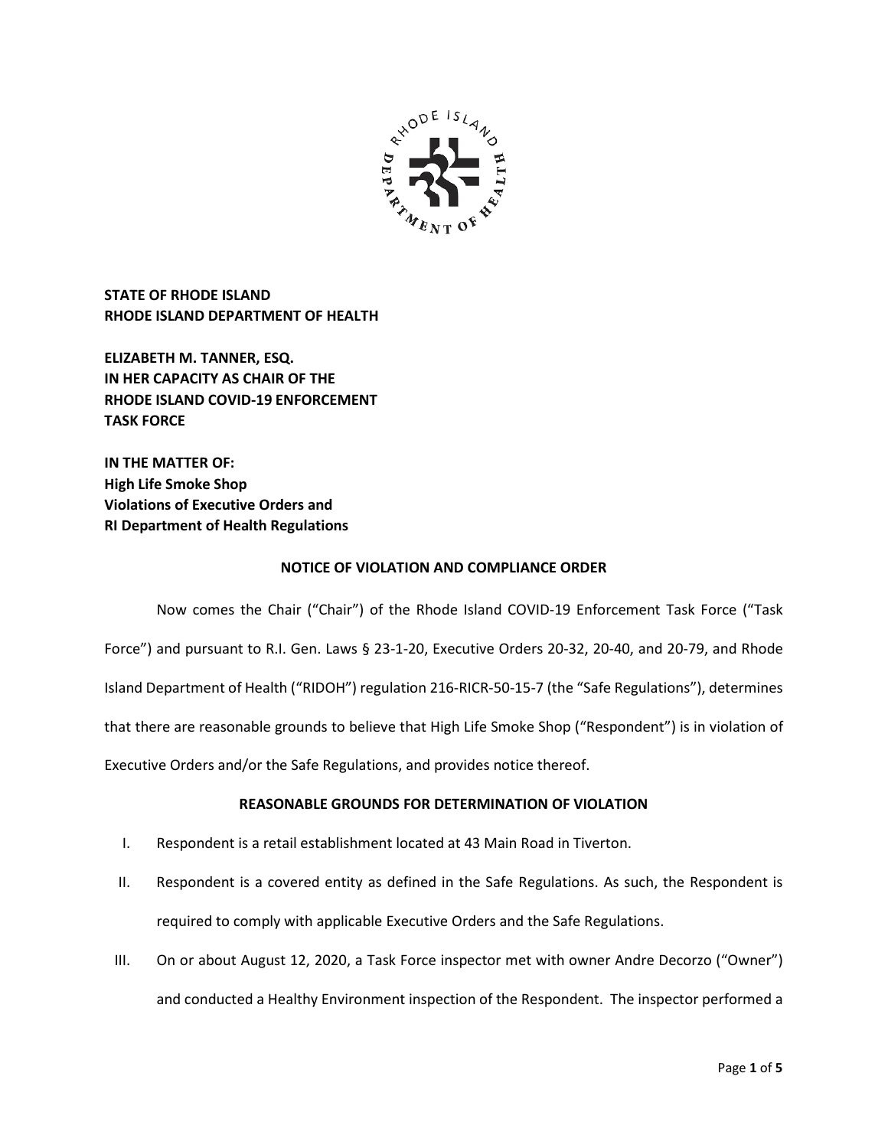

**STATE OF RHODE ISLAND RHODE ISLAND DEPARTMENT OF HEALTH**

**ELIZABETH M. TANNER, ESQ. IN HER CAPACITY AS CHAIR OF THE RHODE ISLAND COVID-19 ENFORCEMENT TASK FORCE** 

**IN THE MATTER OF: High Life Smoke Shop Violations of Executive Orders and RI Department of Health Regulations**

### **NOTICE OF VIOLATION AND COMPLIANCE ORDER**

Now comes the Chair ("Chair") of the Rhode Island COVID-19 Enforcement Task Force ("Task Force") and pursuant to R.I. Gen. Laws § 23-1-20, Executive Orders 20-32, 20-40, and 20-79, and Rhode Island Department of Health ("RIDOH") regulation 216-RICR-50-15-7 (the "Safe Regulations"), determines that there are reasonable grounds to believe that High Life Smoke Shop ("Respondent") is in violation of Executive Orders and/or the Safe Regulations, and provides notice thereof.

# **REASONABLE GROUNDS FOR DETERMINATION OF VIOLATION**

- I. Respondent is a retail establishment located at 43 Main Road in Tiverton.
- II. Respondent is a covered entity as defined in the Safe Regulations. As such, the Respondent is required to comply with applicable Executive Orders and the Safe Regulations.
- III. On or about August 12, 2020, a Task Force inspector met with owner Andre Decorzo ("Owner") and conducted a Healthy Environment inspection of the Respondent. The inspector performed a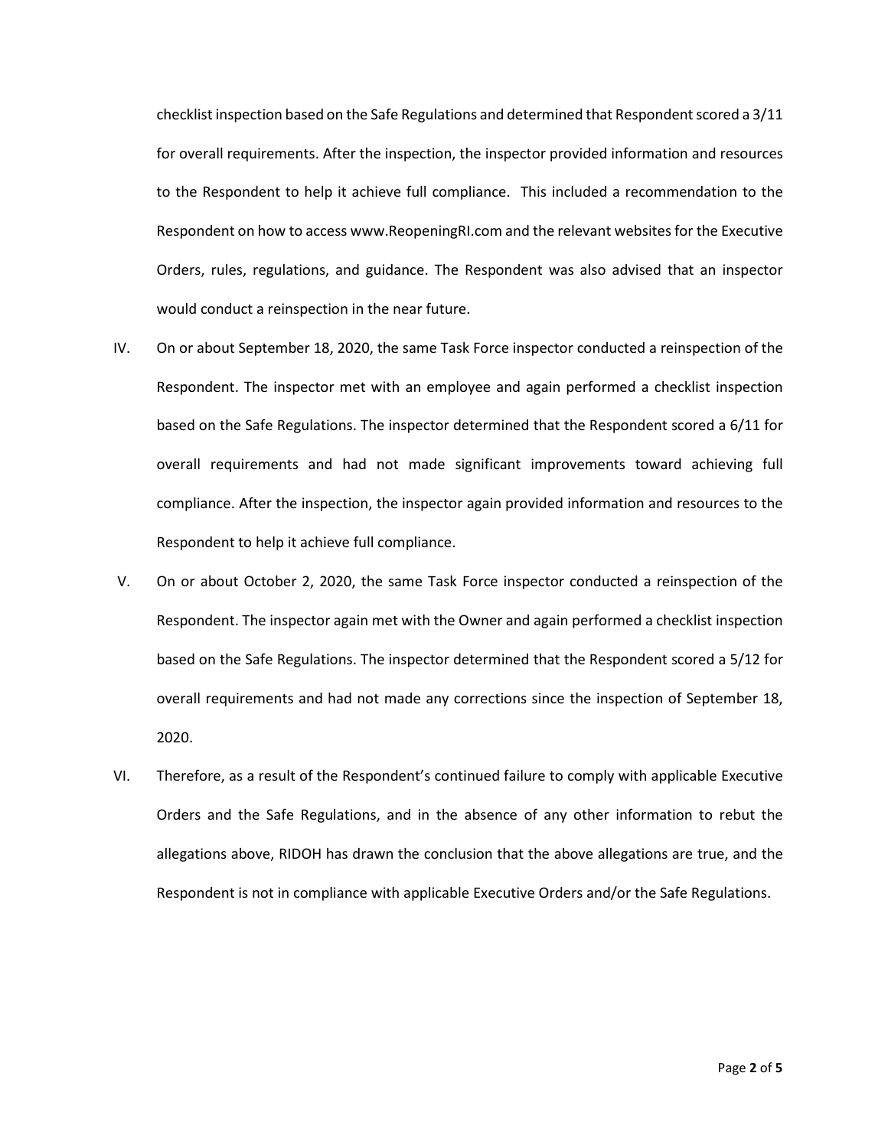checklist inspection based on the Safe Regulations and determined that Respondent scored a 3/11 for overall requirements. After the inspection, the inspector provided information and resources to the Respondent to help it achieve full compliance. This included a recommendation to the Respondent on how to access www.ReopeningRI.com and the relevant websites for the Executive Orders, rules, regulations, and guidance. The Respondent was also advised that an inspector would conduct a reinspection in the near future.

- IV. On or about September 18, 2020, the same Task Force inspector conducted a reinspection of the Respondent. The inspector met with an employee and again performed a checklist inspection based on the Safe Regulations. The inspector determined that the Respondent scored a 6/11 for overall requirements and had not made significant improvements toward achieving full compliance. After the inspection, the inspector again provided information and resources to the Respondent to help it achieve full compliance.
- V. On or about October 2, 2020, the same Task Force inspector conducted a reinspection of the Respondent. The inspector again met with the Owner and again performed a checklist inspection based on the Safe Regulations. The inspector determined that the Respondent scored a 5/12 for overall requirements and had not made any corrections since the inspection of September 18, 2020.
- VI. Therefore, as a result of the Respondent's continued failure to comply with applicable Executive Orders and the Safe Regulations, and in the absence of any other information to rebut the allegations above, RIDOH has drawn the conclusion that the above allegations are true, and the Respondent is not in compliance with applicable Executive Orders and/or the Safe Regulations.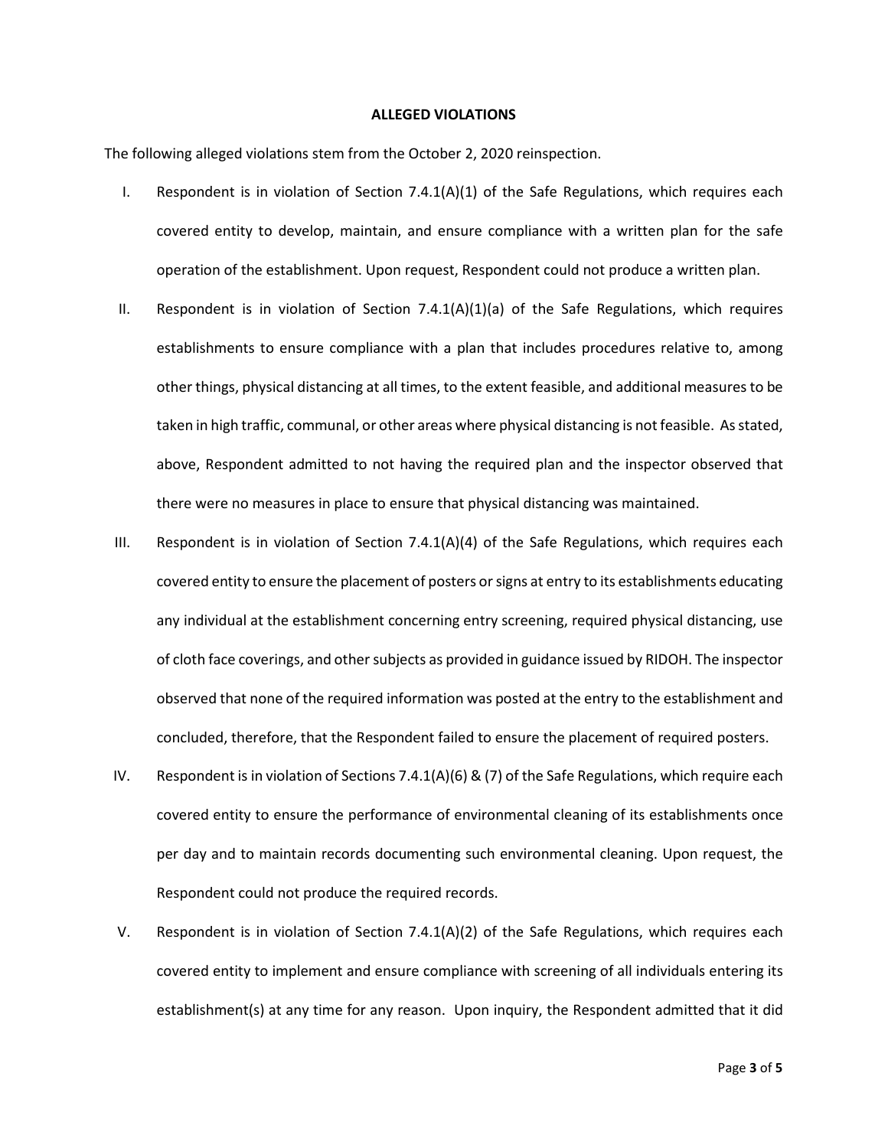#### **ALLEGED VIOLATIONS**

The following alleged violations stem from the October 2, 2020 reinspection.

- I. Respondent is in violation of Section  $7.4.1(A)(1)$  of the Safe Regulations, which requires each covered entity to develop, maintain, and ensure compliance with a written plan for the safe operation of the establishment. Upon request, Respondent could not produce a written plan.
- II. Respondent is in violation of Section 7.4.1(A)(1)(a) of the Safe Regulations, which requires establishments to ensure compliance with a plan that includes procedures relative to, among other things, physical distancing at all times, to the extent feasible, and additional measures to be taken in high traffic, communal, or other areas where physical distancing is not feasible. As stated, above, Respondent admitted to not having the required plan and the inspector observed that there were no measures in place to ensure that physical distancing was maintained.
- III. Respondent is in violation of Section  $7.4.1(A)(4)$  of the Safe Regulations, which requires each covered entity to ensure the placement of posters or signs at entry to its establishments educating any individual at the establishment concerning entry screening, required physical distancing, use of cloth face coverings, and other subjects as provided in guidance issued by RIDOH. The inspector observed that none of the required information was posted at the entry to the establishment and concluded, therefore, that the Respondent failed to ensure the placement of required posters.
- IV. Respondent is in violation of Sections 7.4.1(A)(6) & (7) of the Safe Regulations, which require each covered entity to ensure the performance of environmental cleaning of its establishments once per day and to maintain records documenting such environmental cleaning. Upon request, the Respondent could not produce the required records.
- V. Respondent is in violation of Section 7.4.1(A)(2) of the Safe Regulations, which requires each covered entity to implement and ensure compliance with screening of all individuals entering its establishment(s) at any time for any reason. Upon inquiry, the Respondent admitted that it did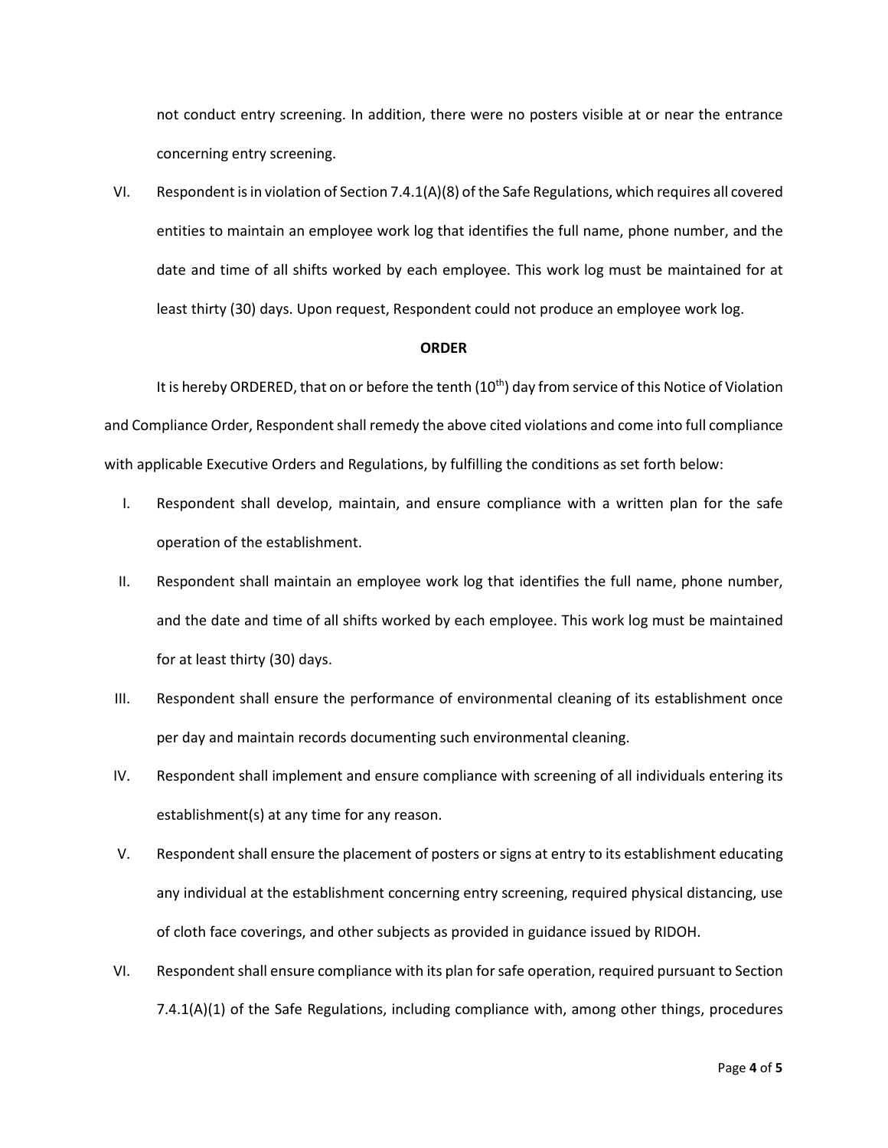not conduct entry screening. In addition, there were no posters visible at or near the entrance concerning entry screening.

VI. Respondent is in violation of Section 7.4.1(A)(8) of the Safe Regulations, which requires all covered entities to maintain an employee work log that identifies the full name, phone number, and the date and time of all shifts worked by each employee. This work log must be maintained for at least thirty (30) days. Upon request, Respondent could not produce an employee work log.

### **ORDER**

It is hereby ORDERED, that on or before the tenth (10<sup>th</sup>) day from service of this Notice of Violation and Compliance Order, Respondent shall remedy the above cited violations and come into full compliance with applicable Executive Orders and Regulations, by fulfilling the conditions as set forth below:

- I. Respondent shall develop, maintain, and ensure compliance with a written plan for the safe operation of the establishment.
- II. Respondent shall maintain an employee work log that identifies the full name, phone number, and the date and time of all shifts worked by each employee. This work log must be maintained for at least thirty (30) days.
- III. Respondent shall ensure the performance of environmental cleaning of its establishment once per day and maintain records documenting such environmental cleaning.
- IV. Respondent shall implement and ensure compliance with screening of all individuals entering its establishment(s) at any time for any reason.
- V. Respondent shall ensure the placement of posters or signs at entry to its establishment educating any individual at the establishment concerning entry screening, required physical distancing, use of cloth face coverings, and other subjects as provided in guidance issued by RIDOH.
- VI. Respondent shall ensure compliance with its plan for safe operation, required pursuant to Section 7.4.1(A)(1) of the Safe Regulations, including compliance with, among other things, procedures